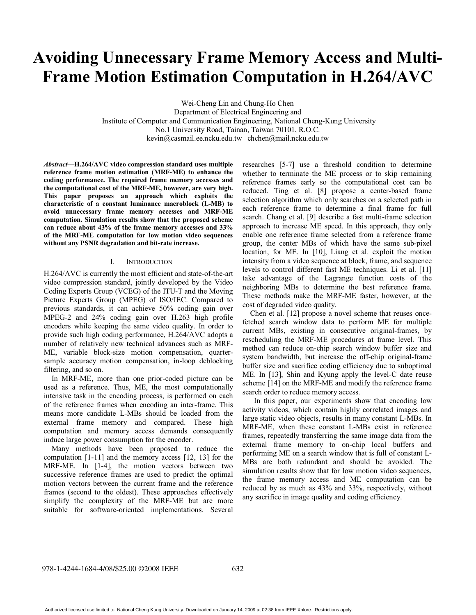# **Avoiding Unnecessary Frame Memory Access and Multi-Frame Motion Estimation Computation in H.264/AVC**

Wei-Cheng Lin and Chung-Ho Chen Department of Electrical Engineering and Institute of Computer and Communication Engineering, National Cheng-Kung University No.1 University Road, Tainan, Taiwan 70101, R.O.C. kevin@casmail.ee.ncku.edu.tw chchen@mail.ncku.edu.tw

*Abstract***—H.264/AVC video compression standard uses multiple reference frame motion estimation (MRF-ME) to enhance the coding performance. The required frame memory accesses and the computational cost of the MRF-ME, however, are very high. This paper proposes an approach which exploits the characteristic of a constant luminance macroblock (L-MB) to avoid unnecessary frame memory accesses and MRF-ME computation. Simulation results show that the proposed scheme can reduce about 43% of the frame memory accesses and 33% of the MRF-ME computation for low motion video sequences without any PSNR degradation and bit-rate increase.** 

# I. INTRODUCTION

H.264/AVC is currently the most efficient and state-of-the-art video compression standard, jointly developed by the Video Coding Experts Group (VCEG) of the ITU-T and the Moving Picture Experts Group (MPEG) of ISO/IEC. Compared to previous standards, it can achieve 50% coding gain over MPEG-2 and 24% coding gain over H.263 high profile encoders while keeping the same video quality. In order to provide such high coding performance, H.264/AVC adopts a number of relatively new technical advances such as MRF-ME, variable block-size motion compensation, quartersample accuracy motion compensation, in-loop deblocking filtering, and so on.

 In MRF-ME, more than one prior-coded picture can be used as a reference. Thus, ME, the most computationally intensive task in the encoding process, is performed on each of the reference frames when encoding an inter-frame. This means more candidate L-MBs should be loaded from the external frame memory and compared. These high computation and memory access demands consequently induce large power consumption for the encoder.

 Many methods have been proposed to reduce the computation [1-11] and the memory access [12, 13] for the MRF-ME. In [1-4], the motion vectors between two successive reference frames are used to predict the optimal motion vectors between the current frame and the reference frames (second to the oldest). These approaches effectively simplify the complexity of the MRF-ME but are more suitable for software-oriented implementations. Several

researches [5-7] use a threshold condition to determine whether to terminate the ME process or to skip remaining reference frames early so the computational cost can be reduced. Ting et al. [8] propose a center-based frame selection algorithm which only searches on a selected path in each reference frame to determine a final frame for full search. Chang et al. [9] describe a fast multi-frame selection approach to increase ME speed. In this approach, they only enable one reference frame selected from a reference frame group, the center MBs of which have the same sub-pixel location, for ME. In [10], Liang et al. exploit the motion intensity from a video sequence at block, frame, and sequence levels to control different fast ME techniques. Li et al. [11] take advantage of the Lagrange function costs of the neighboring MBs to determine the best reference frame. These methods make the MRF-ME faster, however, at the cost of degraded video quality.

 Chen et al. [12] propose a novel scheme that reuses oncefetched search window data to perform ME for multiple current MBs, existing in consecutive original-frames, by rescheduling the MRF-ME procedures at frame level. This method can reduce on-chip search window buffer size and system bandwidth, but increase the off-chip original-frame buffer size and sacrifice coding efficiency due to suboptimal ME. In [13], Shin and Kyung apply the level-C date reuse scheme [14] on the MRF-ME and modify the reference frame search order to reduce memory access.

In this paper, our experiments show that encoding low activity videos, which contain highly correlated images and large static video objects, results in many constant L-MBs. In MRF-ME, when these constant L-MBs exist in reference frames, repeatedly transferring the same image data from the external frame memory to on-chip local buffers and performing ME on a search window that is full of constant L-MBs are both redundant and should be avoided. The simulation results show that for low motion video sequences, the frame memory access and ME computation can be reduced by as much as 43% and 33%, respectively, without any sacrifice in image quality and coding efficiency.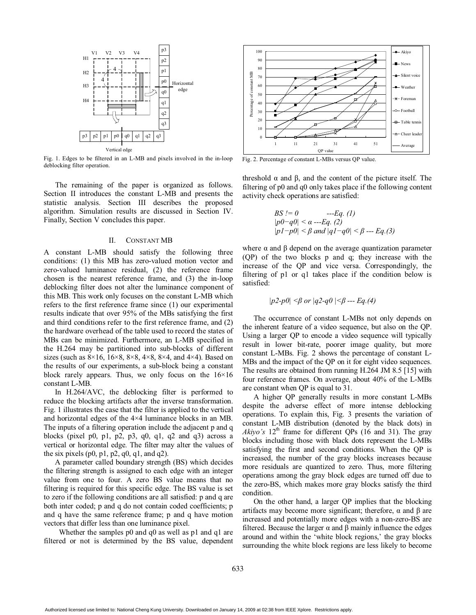

Fig. 1. Edges to be filtered in an L-MB and pixels involved in the in-loop deblocking filter operation.

The remaining of the paper is organized as follows. Section II introduces the constant L-MB and presents the statistic analysis. Section III describes the proposed algorithm. Simulation results are discussed in Section IV. Finally, Section V concludes this paper.

# II. CONSTANT MB

A constant L-MB should satisfy the following three conditions: (1) this MB has zero-valued motion vector and zero-valued luminance residual, (2) the reference frame chosen is the nearest reference frame, and (3) the in-loop deblocking filter does not alter the luminance component of this MB. This work only focuses on the constant L-MB which refers to the first reference frame since (1) our experimental results indicate that over 95% of the MBs satisfying the first and third conditions refer to the first reference frame, and (2) the hardware overhead of the table used to record the states of MBs can be minimized. Furthermore, an L-MB specified in the H.264 may be partitioned into sub-blocks of different sizes (such as  $8 \times 16$ ,  $16 \times 8$ ,  $8 \times 8$ ,  $4 \times 8$ ,  $8 \times 4$ , and  $4 \times 4$ ). Based on the results of our experiments, a sub-block being a constant block rarely appears. Thus, we only focus on the  $16\times16$ constant L-MB.

In H.264/AVC, the deblocking filter is performed to reduce the blocking artifacts after the inverse transformation. Fig. 1 illustrates the case that the filter is applied to the vertical and horizontal edges of the 4×4 luminance blocks in an MB. The inputs of a filtering operation include the adjacent p and q blocks (pixel p0, p1, p2, p3, q0, q1, q2 and q3) across a vertical or horizontal edge. The filter may alter the values of the six pixels  $(p0, p1, p2, q0, q1, and q2)$ .

A parameter called boundary strength (BS) which decides the filtering strength is assigned to each edge with an integer value from one to four. A zero BS value means that no filtering is required for this specific edge. The BS value is set to zero if the following conditions are all satisfied: p and q are both inter coded; p and q do not contain coded coefficients; p and q have the same reference frame; p and q have motion vectors that differ less than one luminance pixel.

Whether the samples p0 and q0 as well as p1 and q1 are filtered or not is determined by the BS value, dependent



Fig. 2. Percentage of constant L-MBs versus QP value.

threshold  $\alpha$  and  $\beta$ , and the content of the picture itself. The filtering of p0 and q0 only takes place if the following content activity check operations are satisfied:

$$
BS := 0
$$
 --- Eq. (1)  
\n
$$
|p0-q0| < α
$$
 --- Eq. (2)  
\n
$$
|p1-p0| < β
$$
 and 
$$
|q1-q0| < β
$$
 --- Eq. (3)

where  $\alpha$  and  $\beta$  depend on the average quantization parameter (QP) of the two blocks p and q; they increase with the increase of the QP and vice versa. Correspondingly, the filtering of p1 or q1 takes place if the condition below is satisfied:

$$
|p2-p0| < \beta
$$
 or  $|q2-q0| < \beta$  --- Eq.(4)

The occurrence of constant L-MBs not only depends on the inherent feature of a video sequence, but also on the QP. Using a larger QP to encode a video sequence will typically result in lower bit-rate, poorer image quality, but more constant L-MBs. Fig. 2 shows the percentage of constant L-MBs and the impact of the QP on it for eight video sequences. The results are obtained from running H.264 JM 8.5 [15] with four reference frames. On average, about 40% of the L-MBs are constant when QP is equal to 31.

A higher QP generally results in more constant L-MBs despite the adverse effect of more intense deblocking operations. To explain this, Fig. 3 presents the variation of constant L-MB distribution (denoted by the black dots) in  $Akiyo's$  12<sup>th</sup> frame for different QPs (16 and 31). The gray blocks including those with black dots represent the L-MBs satisfying the first and second conditions. When the QP is increased, the number of the gray blocks increases because more residuals are quantized to zero. Thus, more filtering operations among the gray block edges are turned off due to the zero-BS, which makes more gray blocks satisfy the third condition.

On the other hand, a larger QP implies that the blocking artifacts may become more significant; therefore,  $\alpha$  and  $\beta$  are increased and potentially more edges with a non-zero-BS are filtered. Because the larger  $\alpha$  and  $\beta$  mainly influence the edges around and within the 'white block regions,' the gray blocks surrounding the white block regions are less likely to become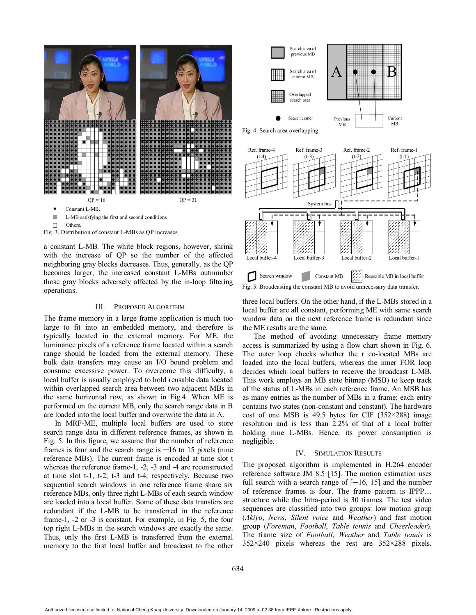

- n. L-MB satisfying the first and second conditions.
- $\Box$ Others.



a constant L-MB. The white block regions, however, shrink with the increase of QP so the number of the affected neighboring gray blocks decreases. Thus, generally, as the QP becomes larger, the increased constant L-MBs outnumber those gray blocks adversely affected by the in-loop filtering operations.

### III. PROPOSED ALGORITHM

The frame memory in a large frame application is much too large to fit into an embedded memory, and therefore is typically located in the external memory. For ME, the luminance pixels of a reference frame located within a search range should be loaded from the external memory. These bulk data transfers may cause an I/O bound problem and consume excessive power. To overcome this difficulty, a local buffer is usually employed to hold reusable data located within overlapped search area between two adjacent MBs in the same horizontal row, as shown in Fig.4. When ME is performed on the current MB, only the search range data in B are loaded into the local buffer and overwrite the data in A.

In MRF-ME, multiple local buffers are used to store search range data in different reference frames, as shown in Fig. 5. In this figure, we assume that the number of reference frames is four and the search range is  $-16$  to 15 pixels (nine reference MBs). The current frame is encoded at time slot t whereas the reference frame-1, -2, -3 and -4 are reconstructed at time slot t-1, t-2, t-3 and t-4, respectively. Because two sequential search windows in one reference frame share six reference MBs, only three right L-MBs of each search window are loaded into a local buffer. Some of these data transfers are redundant if the L-MB to be transferred in the reference frame-1, -2 or -3 is constant. For example, in Fig. 5, the four top right L-MBs in the search windows are exactly the same. Thus, only the first L-MB is transferred from the external memory to the first local buffer and broadcast to the other



Fig. 4. Search area overlapping.



Fig. 5. Broadcasting the constant MB to avoid unnecessary data transfer.

three local buffers. On the other hand, if the L-MBs stored in a local buffer are all constant, performing ME with same search window data on the next reference frame is redundant since the ME results are the same.

The method of avoiding unnecessary frame memory access is summarized by using a flow chart shown in Fig. 6. The outer loop checks whether the r co-located MBs are loaded into the local buffers, whereas the inner FOR loop decides which local buffers to receive the broadcast L-MB. This work employs an MB state bitmap (MSB) to keep track of the status of L-MBs in each reference frame. An MSB has as many entries as the number of MBs in a frame; each entry contains two states (non-constant and constant). The hardware cost of one MSB is 49.5 bytes for CIF  $(352\times288)$  image resolution and is less than 2.2% of that of a local buffer holding nine L-MBs. Hence, its power consumption is negligible.

# IV. SIMULATION RESULTS

The proposed algorithm is implemented in H.264 encoder reference software JM 8.5 [15]. The motion estimation uses full search with a search range of  $[-16, 15]$  and the number of reference frames is four. The frame pattern is IPPP… structure while the Intra-period is 30 frames. The test video sequences are classified into two groups: low motion group (*Akiyo*, *News*, *Silent voice* and *Weather*) and fast motion group (*Foreman*, *Football*, *Table tennis* and *Cheerleader*). The frame size of *Football*, *Weather* and *Table tennis* is 352×240 pixels whereas the rest are 352×288 pixels.